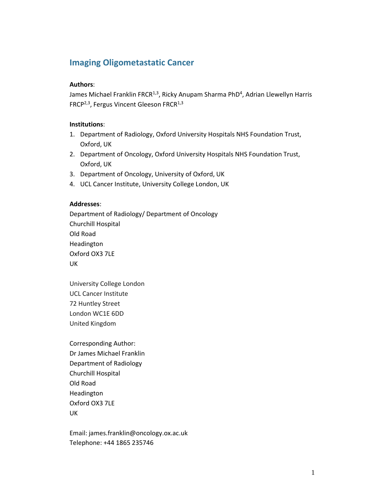# **Imaging Oligometastatic Cancer**

# **Authors**:

James Michael Franklin FRCR<sup>1,3</sup>, Ricky Anupam Sharma PhD<sup>4</sup>, Adrian Llewellyn Harris FRCP<sup>2,3</sup>, Fergus Vincent Gleeson FRCR<sup>1,3</sup>

# **Institutions**:

- 1. Department of Radiology, Oxford University Hospitals NHS Foundation Trust, Oxford, UK
- 2. Department of Oncology, Oxford University Hospitals NHS Foundation Trust, Oxford, UK
- 3. Department of Oncology, University of Oxford, UK
- 4. UCL Cancer Institute, University College London, UK

# **Addresses**:

Department of Radiology/ Department of Oncology Churchill Hospital Old Road Headington Oxford OX3 7LE UK

University College London UCL Cancer Institute 72 Huntley Street London WC1E 6DD United Kingdom

Corresponding Author: Dr James Michael Franklin Department of Radiology Churchill Hospital Old Road Headington Oxford OX3 7LE UK

Email: james.franklin@oncology.ox.ac.uk Telephone: +44 1865 235746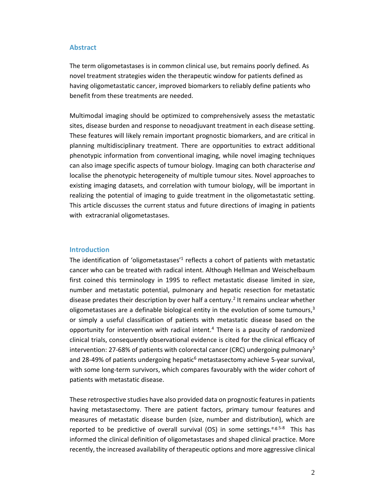#### **Abstract**

The term oligometastases is in common clinical use, but remains poorly defined. As novel treatment strategies widen the therapeutic window for patients defined as having oligometastatic cancer, improved biomarkers to reliably define patients who benefit from these treatments are needed.

Multimodal imaging should be optimized to comprehensively assess the metastatic sites, disease burden and response to neoadjuvant treatment in each disease setting. These features will likely remain important prognostic biomarkers, and are critical in planning multidisciplinary treatment. There are opportunities to extract additional phenotypic information from conventional imaging, while novel imaging techniques can also image specific aspects of tumour biology. Imaging can both characterise *and* localise the phenotypic heterogeneity of multiple tumour sites. Novel approaches to existing imaging datasets, and correlation with tumour biology, will be important in realizing the potential of imaging to guide treatment in the oligometastatic setting. This article discusses the current status and future directions of imaging in patients with extracranial oligometastases.

#### **Introduction**

The identification of 'oligometastases'<sup>1</sup> reflects a cohort of patients with metastatic cancer who can be treated with radical intent. Although Hellman and Weischelbaum first coined this terminology in 1995 to reflect metastatic disease limited in size, number and metastatic potential, pulmonary and hepatic resection for metastatic disease predates their description by over half a century.<sup>2</sup> It remains unclear whether oligometastases are a definable biological entity in the evolution of some tumours, $3$ or simply a useful classification of patients with metastatic disease based on the opportunity for intervention with radical intent.<sup>4</sup> There is a paucity of randomized clinical trials, consequently observational evidence is cited for the clinical efficacy of intervention: 27-68% of patients with colorectal cancer (CRC) undergoing pulmonary<sup>5</sup> and 28-49% of patients undergoing hepatic<sup>6</sup> metastasectomy achieve 5-year survival, with some long-term survivors, which compares favourably with the wider cohort of patients with metastatic disease.

These retrospective studies have also provided data on prognostic features in patients having metastasectomy. There are patient factors, primary tumour features and measures of metastatic disease burden (size, number and distribution), which are reported to be predictive of overall survival (OS) in some settings.  $e.g.5-8$  This has informed the clinical definition of oligometastases and shaped clinical practice. More recently, the increased availability of therapeutic options and more aggressive clinical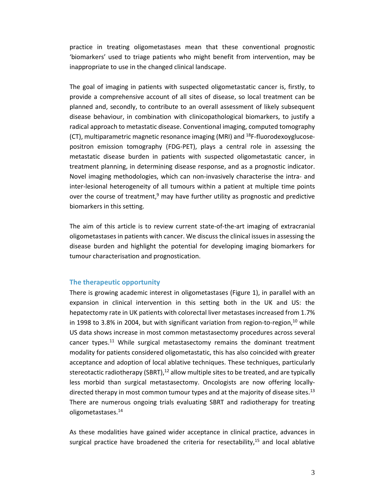practice in treating oligometastases mean that these conventional prognostic 'biomarkers' used to triage patients who might benefit from intervention, may be inappropriate to use in the changed clinical landscape.

The goal of imaging in patients with suspected oligometastatic cancer is, firstly, to provide a comprehensive account of all sites of disease, so local treatment can be planned and, secondly, to contribute to an overall assessment of likely subsequent disease behaviour, in combination with clinicopathological biomarkers, to justify a radical approach to metastatic disease. Conventional imaging, computed tomography (CT), multiparametric magnetic resonance imaging (MRI) and  $^{18}F$ -fluorodexoyglucosepositron emission tomography (FDG-PET), plays a central role in assessing the metastatic disease burden in patients with suspected oligometastatic cancer, in treatment planning, in determining disease response, and as a prognostic indicator. Novel imaging methodologies, which can non-invasively characterise the intra- and inter-lesional heterogeneity of all tumours within a patient at multiple time points over the course of treatment, $9$  may have further utility as prognostic and predictive biomarkers in this setting.

The aim of this article is to review current state-of-the-art imaging of extracranial oligometastases in patients with cancer. We discuss the clinical issues in assessing the disease burden and highlight the potential for developing imaging biomarkers for tumour characterisation and prognostication.

#### **The therapeutic opportunity**

There is growing academic interest in oligometastases (Figure 1), in parallel with an expansion in clinical intervention in this setting both in the UK and US: the hepatectomy rate in UK patients with colorectal liver metastases increased from 1.7% in 1998 to 3.8% in 2004, but with significant variation from region-to-region, $^{10}$  while US data shows increase in most common metastasectomy procedures across several cancer types.<sup>11</sup> While surgical metastasectomy remains the dominant treatment modality for patients considered oligometastatic, this has also coincided with greater acceptance and adoption of local ablative techniques. These techniques, particularly stereotactic radiotherapy (SBRT), $12$  allow multiple sites to be treated, and are typically less morbid than surgical metastasectomy. Oncologists are now offering locallydirected therapy in most common tumour types and at the majority of disease sites.<sup>13</sup> There are numerous ongoing trials evaluating SBRT and radiotherapy for treating oligometastases.<sup>14</sup>

As these modalities have gained wider acceptance in clinical practice, advances in surgical practice have broadened the criteria for resectability, $15$  and local ablative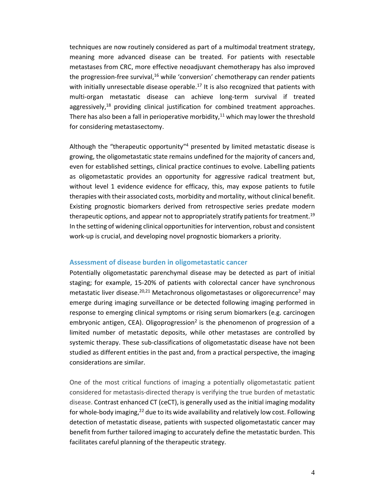techniques are now routinely considered as part of a multimodal treatment strategy, meaning more advanced disease can be treated. For patients with resectable metastases from CRC, more effective neoadjuvant chemotherapy has also improved the progression-free survival, $16$  while 'conversion' chemotherapy can render patients with initially unresectable disease operable.<sup>17</sup> It is also recognized that patients with multi-organ metastatic disease can achieve long-term survival if treated aggressively, $18$  providing clinical justification for combined treatment approaches. There has also been a fall in perioperative morbidity, $11$  which may lower the threshold for considering metastasectomy.

Although the "therapeutic opportunity"<sup>4</sup> presented by limited metastatic disease is growing, the oligometastatic state remains undefined for the majority of cancers and, even for established settings, clinical practice continues to evolve. Labelling patients as oligometastatic provides an opportunity for aggressive radical treatment but, without level 1 evidence evidence for efficacy, this, may expose patients to futile therapies with their associated costs, morbidity and mortality, without clinical benefit. Existing prognostic biomarkers derived from retrospective series predate modern therapeutic options, and appear not to appropriately stratify patients for treatment.<sup>19</sup> In the setting of widening clinical opportunities for intervention, robust and consistent work-up is crucial, and developing novel prognostic biomarkers a priority.

# **Assessment of disease burden in oligometastatic cancer**

Potentially oligometastatic parenchymal disease may be detected as part of initial staging; for example, 15-20% of patients with colorectal cancer have synchronous metastatic liver disease.<sup>20,21</sup> Metachronous oligometastases or oligorecurrence<sup>2</sup> may emerge during imaging surveillance or be detected following imaging performed in response to emerging clinical symptoms or rising serum biomarkers (e.g. carcinogen embryonic antigen, CEA). Oligoprogression<sup>2</sup> is the phenomenon of progression of a limited number of metastatic deposits, while other metastases are controlled by systemic therapy. These sub-classifications of oligometastatic disease have not been studied as different entities in the past and, from a practical perspective, the imaging considerations are similar.

One of the most critical functions of imaging a potentially oligometastatic patient considered for metastasis-directed therapy is verifying the true burden of metastatic disease. Contrast enhanced CT (ceCT), is generally used as the initial imaging modality for whole-body imaging, $^{22}$  due to its wide availability and relatively low cost. Following detection of metastatic disease, patients with suspected oligometastatic cancer may benefit from further tailored imaging to accurately define the metastatic burden. This facilitates careful planning of the therapeutic strategy.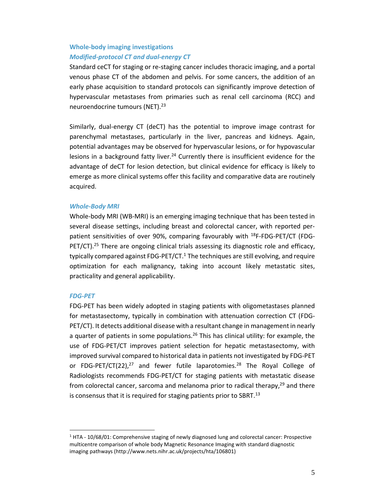# **Whole-body imaging investigations** *Modified-protocol CT and dual-energy CT*

Standard ceCT for staging or re-staging cancer includes thoracic imaging, and a portal venous phase CT of the abdomen and pelvis. For some cancers, the addition of an early phase acquisition to standard protocols can significantly improve detection of hypervascular metastases from primaries such as renal cell carcinoma (RCC) and neuroendocrine tumours (NET).<sup>23</sup>

Similarly, dual-energy CT (deCT) has the potential to improve image contrast for parenchymal metastases, particularly in the liver, pancreas and kidneys. Again, potential advantages may be observed for hypervascular lesions, or for hypovascular lesions in a background fatty liver.<sup>24</sup> Currently there is insufficient evidence for the advantage of deCT for lesion detection, but clinical evidence for efficacy is likely to emerge as more clinical systems offer this facility and comparative data are routinely acquired.

# *Whole-Body MRI*

Whole-body MRI (WB-MRI) is an emerging imaging technique that has been tested in several disease settings, including breast and colorectal cancer, with reported perpatient sensitivities of over 90%, comparing favourably with <sup>18</sup>F-FDG-PET/CT (FDG- $PET/CT$ ).<sup>25</sup> There are ongoing clinical trials assessing its diagnostic role and efficacy, typically compared against  $FDG-PET/CT<sup>1</sup>$ . The techniques are still evolving, and require optimization for each malignancy, taking into account likely metastatic sites, practicality and general applicability.

# *FDG-PET*

FDG-PET has been widely adopted in staging patients with oligometastases planned for metastasectomy, typically in combination with attenuation correction CT (FDG-PET/CT). It detects additional disease with a resultant change in management in nearly a quarter of patients in some populations.<sup>26</sup> This has clinical utility: for example, the use of FDG-PET/CT improves patient selection for hepatic metastasectomy, with improved survival compared to historical data in patients not investigated by FDG-PET or FDG-PET/CT(22),<sup>27</sup> and fewer futile laparotomies.<sup>28</sup> The Royal College of Radiologists recommends FDG-PET/CT for staging patients with metastatic disease from colorectal cancer, sarcoma and melanoma prior to radical therapy, $29$  and there is consensus that it is required for staging patients prior to SBRT. $<sup>13</sup>$ </sup>

 $1$  HTA - 10/68/01: Comprehensive staging of newly diagnosed lung and colorectal cancer: Prospective multicentre comparison of whole body Magnetic Resonance Imaging with standard diagnostic imaging pathways (http://www.nets.nihr.ac.uk/projects/hta/106801)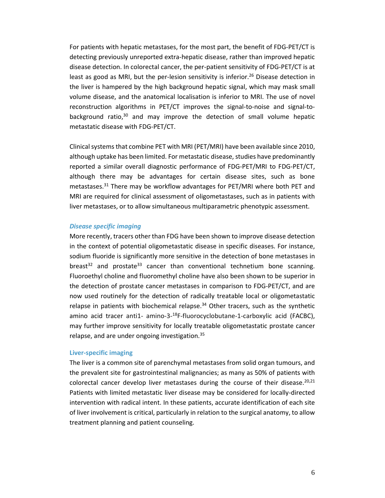For patients with hepatic metastases, for the most part, the benefit of FDG-PET/CT is detecting previously unreported extra-hepatic disease, rather than improved hepatic disease detection. In colorectal cancer, the per-patient sensitivity of FDG-PET/CT is at least as good as MRI, but the per-lesion sensitivity is inferior.<sup>26</sup> Disease detection in the liver is hampered by the high background hepatic signal, which may mask small volume disease, and the anatomical localisation is inferior to MRI. The use of novel reconstruction algorithms in PET/CT improves the signal-to-noise and signal-tobackground ratio, $30$  and may improve the detection of small volume hepatic metastatic disease with FDG-PET/CT.

Clinical systems that combine PET with MRI (PET/MRI) have been available since 2010, although uptake has been limited. For metastatic disease, studies have predominantly reported a similar overall diagnostic performance of FDG-PET/MRI to FDG-PET/CT, although there may be advantages for certain disease sites, such as bone metastases.<sup>31</sup> There may be workflow advantages for PET/MRI where both PET and MRI are required for clinical assessment of oligometastases, such as in patients with liver metastases, or to allow simultaneous multiparametric phenotypic assessment.

#### *Disease specific imaging*

More recently, tracers other than FDG have been shown to improve disease detection in the context of potential oligometastatic disease in specific diseases. For instance, sodium fluoride is significantly more sensitive in the detection of bone metastases in breast<sup>32</sup> and prostate<sup>33</sup> cancer than conventional technetium bone scanning. Fluoroethyl choline and fluoromethyl choline have also been shown to be superior in the detection of prostate cancer metastases in comparison to FDG-PET/CT, and are now used routinely for the detection of radically treatable local or oligometastatic relapse in patients with biochemical relapse. $34$  Other tracers, such as the synthetic amino acid tracer anti1- amino-3-<sup>18</sup>F-fluorocyclobutane-1-carboxylic acid (FACBC), may further improve sensitivity for locally treatable oligometastatic prostate cancer relapse, and are under ongoing investigation.<sup>35</sup>

## **Liver-specific imaging**

The liver is a common site of parenchymal metastases from solid organ tumours, and the prevalent site for gastrointestinal malignancies; as many as 50% of patients with colorectal cancer develop liver metastases during the course of their disease.<sup>20,21</sup> Patients with limited metastatic liver disease may be considered for locally-directed intervention with radical intent. In these patients, accurate identification of each site of liver involvement is critical, particularly in relation to the surgical anatomy, to allow treatment planning and patient counseling.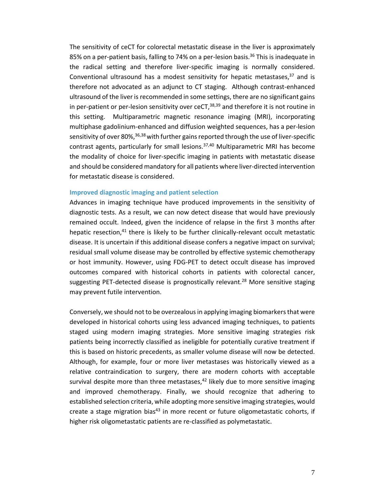The sensitivity of ceCT for colorectal metastatic disease in the liver is approximately 85% on a per-patient basis, falling to 74% on a per-lesion basis.<sup>36</sup> This is inadequate in the radical setting and therefore liver-specific imaging is normally considered. Conventional ultrasound has a modest sensitivity for hepatic metastases, $37$  and is therefore not advocated as an adjunct to CT staging. Although contrast-enhanced ultrasound of the liver is recommended in some settings, there are no significant gains in per-patient or per-lesion sensitivity over  $ceCT$ ,  $38,39$  and therefore it is not routine in this setting. Multiparametric magnetic resonance imaging (MRI), incorporating multiphase gadolinium-enhanced and diffusion weighted sequences, has a per-lesion sensitivity of over 80%,  $36,38$  with further gains reported through the use of liver-specific contrast agents, particularly for small lesions.<sup>37,40</sup> Multiparametric MRI has become the modality of choice for liver-specific imaging in patients with metastatic disease and should be considered mandatory for all patients where liver-directed intervention for metastatic disease is considered.

#### **Improved diagnostic imaging and patient selection**

Advances in imaging technique have produced improvements in the sensitivity of diagnostic tests. As a result, we can now detect disease that would have previously remained occult. Indeed, given the incidence of relapse in the first 3 months after hepatic resection, $41$  there is likely to be further clinically-relevant occult metastatic disease. It is uncertain if this additional disease confers a negative impact on survival; residual small volume disease may be controlled by effective systemic chemotherapy or host immunity. However, using FDG-PET to detect occult disease has improved outcomes compared with historical cohorts in patients with colorectal cancer, suggesting PET-detected disease is prognostically relevant.<sup>28</sup> More sensitive staging may prevent futile intervention.

Conversely, we should not to be overzealous in applying imaging biomarkers that were developed in historical cohorts using less advanced imaging techniques, to patients staged using modern imaging strategies. More sensitive imaging strategies risk patients being incorrectly classified as ineligible for potentially curative treatment if this is based on historic precedents, as smaller volume disease will now be detected. Although, for example, four or more liver metastases was historically viewed as a relative contraindication to surgery, there are modern cohorts with acceptable survival despite more than three metastases, $42$  likely due to more sensitive imaging and improved chemotherapy. Finally, we should recognize that adhering to established selection criteria, while adopting more sensitive imaging strategies, would create a stage migration bias<sup>43</sup> in more recent or future oligometastatic cohorts, if higher risk oligometastatic patients are re-classified as polymetastatic.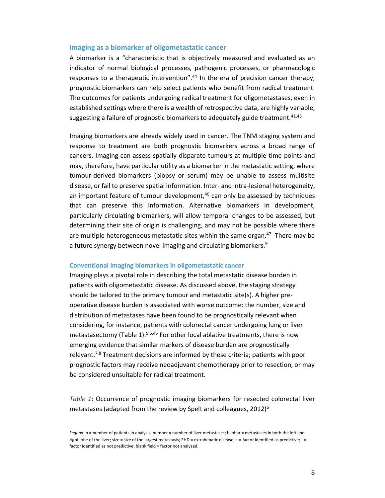#### **Imaging as a biomarker of oligometastatic cancer**

A biomarker is a "characteristic that is objectively measured and evaluated as an indicator of normal biological processes, pathogenic processes, or pharmacologic responses to a therapeutic intervention".<sup>44</sup> In the era of precision cancer therapy, prognostic biomarkers can help select patients who benefit from radical treatment. The outcomes for patients undergoing radical treatment for oligometastases, even in established settings where there is a wealth of retrospective data, are highly variable, suggesting a failure of prognostic biomarkers to adequately guide treatment.  $41,45$ 

Imaging biomarkers are already widely used in cancer. The TNM staging system and response to treatment are both prognostic biomarkers across a broad range of cancers. Imaging can assess spatially disparate tumours at multiple time points and may, therefore, have particular utility as a biomarker in the metastatic setting, where tumour-derived biomarkers (biopsy or serum) may be unable to assess multisite disease, or fail to preserve spatial information. Inter- and intra-lesional heterogeneity, an important feature of tumour development, $46$  can only be assessed by techniques that can preserve this information. Alternative biomarkers in development, particularly circulating biomarkers, will allow temporal changes to be assessed, but determining their site of origin is challenging, and may not be possible where there are multiple heterogeneous metastatic sites within the same organ. $47$  There may be a future synergy between novel imaging and circulating biomarkers.<sup>9</sup>

#### **Conventional imaging biomarkers in oligometastatic cancer**

Imaging plays a pivotal role in describing the total metastatic disease burden in patients with oligometastatic disease. As discussed above, the staging strategy should be tailored to the primary tumour and metastatic site(s). A higher preoperative disease burden is associated with worse outcome: the number, size and distribution of metastases have been found to be prognostically relevant when considering, for instance, patients with colorectal cancer undergoing lung or liver metastasectomy (Table 1).<sup>5,6,45</sup> For other local ablative treatments, there is now emerging evidence that similar markers of disease burden are prognostically relevant.7,8 Treatment decisions are informed by these criteria; patients with poor prognostic factors may receive neoadjuvant chemotherapy prior to resection, or may be considered unsuitable for radical treatment.

*Table 1*: Occurrence of prognostic imaging biomarkers for resected colorectal liver metastases (adapted from the review by Spelt and colleagues,  $2012$ <sup>6</sup>

Legend: n = number of patients in analysis; number = number of liver metastases; bilobar = metastases in both the left and right lobe of the liver; size = size of the largest metastasis; EHD = extrahepatic disease; + = factor identified as predictive; - = factor identified as not predictive; blank field = factor not analysed.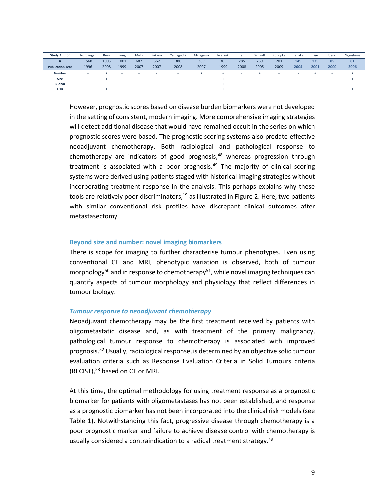| <b>Study Author</b>     | Nordlinger               | Rees | Fong | Malik                    | Zakaria | Yamaguchi | Minagawa                 | Iwatsuki | Tan  | Schindl | Konopke | Tanaka | Lise | Ueno                     | Nagashima                |
|-------------------------|--------------------------|------|------|--------------------------|---------|-----------|--------------------------|----------|------|---------|---------|--------|------|--------------------------|--------------------------|
| $\mathsf{n}$            | 1568                     | 1005 | 1001 | 687                      | 662     | 380       | 369                      | 305      | 285  | 269     | 201     | 149    | 135  | 85                       | 81                       |
| <b>Publication Year</b> | 1996                     | 2008 | 1999 | 2007                     | 2007    | 2008      | 2007                     | 1999     | 2008 | 2005    | 2009    | 2004   | 2001 | 2000                     | 2006                     |
| <b>Number</b>           | ∸                        |      |      |                          |         |           |                          |          |      |         |         |        |      |                          |                          |
| <b>Size</b>             |                          |      |      | $\sim$                   |         |           |                          |          | . .  |         |         |        |      |                          |                          |
| <b>Bilobar</b>          | $\overline{\phantom{a}}$ |      |      | $\overline{\phantom{a}}$ |         | $\sim$    | $\overline{\phantom{a}}$ |          | . .  | . .     | $\,$    |        |      | $\overline{\phantom{a}}$ | $\overline{\phantom{a}}$ |
| <b>EHD</b>              |                          |      |      |                          |         |           |                          |          |      |         |         |        |      |                          |                          |

However, prognostic scores based on disease burden biomarkers were not developed in the setting of consistent, modern imaging. More comprehensive imaging strategies will detect additional disease that would have remained occult in the series on which prognostic scores were based. The prognostic scoring systems also predate effective neoadjuvant chemotherapy. Both radiological and pathological response to chemotherapy are indicators of good prognosis, $48$  whereas progression through treatment is associated with a poor prognosis.<sup>49</sup> The majority of clinical scoring systems were derived using patients staged with historical imaging strategies without incorporating treatment response in the analysis. This perhaps explains why these tools are relatively poor discriminators, $19$  as illustrated in Figure 2. Here, two patients with similar conventional risk profiles have discrepant clinical outcomes after metastasectomy.

#### **Beyond size and number: novel imaging biomarkers**

There is scope for imaging to further characterise tumour phenotypes. Even using conventional CT and MRI, phenotypic variation is observed, both of tumour morphology<sup>50</sup> and in response to chemotherapy<sup>51</sup>, while novel imaging techniques can quantify aspects of tumour morphology and physiology that reflect differences in tumour biology.

# *Tumour response to neoadjuvant chemotherapy*

Neoadjuvant chemotherapy may be the first treatment received by patients with oligometastatic disease and, as with treatment of the primary malignancy, pathological tumour response to chemotherapy is associated with improved prognosis.<sup>52</sup> Usually, radiological response, is determined by an objective solid tumour evaluation criteria such as Response Evaluation Criteria in Solid Tumours criteria (RECIST),<sup>53</sup> based on CT or MRI.

At this time, the optimal methodology for using treatment response as a prognostic biomarker for patients with oligometastases has not been established, and response as a prognostic biomarker has not been incorporated into the clinical risk models (see Table 1). Notwithstanding this fact, progressive disease through chemotherapy is a poor prognostic marker and failure to achieve disease control with chemotherapy is usually considered a contraindication to a radical treatment strategy.<sup>49</sup>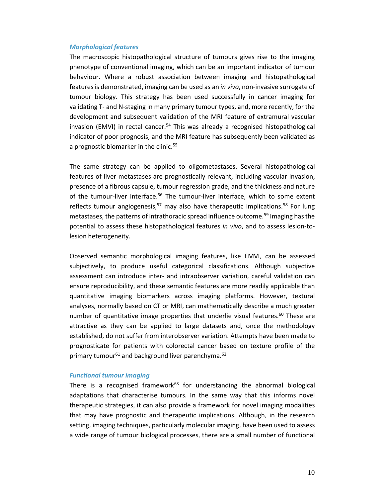### *Morphological features*

The macroscopic histopathological structure of tumours gives rise to the imaging phenotype of conventional imaging, which can be an important indicator of tumour behaviour. Where a robust association between imaging and histopathological features is demonstrated, imaging can be used as an *in vivo*, non-invasive surrogate of tumour biology. This strategy has been used successfully in cancer imaging for validating T- and N-staging in many primary tumour types, and, more recently, for the development and subsequent validation of the MRI feature of extramural vascular invasion (EMVI) in rectal cancer.<sup>54</sup> This was already a recognised histopathological indicator of poor prognosis, and the MRI feature has subsequently been validated as a prognostic biomarker in the clinic.<sup>55</sup>

The same strategy can be applied to oligometastases. Several histopathological features of liver metastases are prognostically relevant, including vascular invasion, presence of a fibrous capsule, tumour regression grade, and the thickness and nature of the tumour-liver interface.<sup>56</sup> The tumour-liver interface, which to some extent reflects tumour angiogenesis,<sup>57</sup> may also have therapeutic implications.<sup>58</sup> For lung metastases, the patterns of intrathoracic spread influence outcome.<sup>59</sup> Imaging has the potential to assess these histopathological features *in vivo*, and to assess lesion-tolesion heterogeneity.

Observed semantic morphological imaging features, like EMVI, can be assessed subjectively, to produce useful categorical classifications. Although subjective assessment can introduce inter- and intraobserver variation, careful validation can ensure reproducibility, and these semantic features are more readily applicable than quantitative imaging biomarkers across imaging platforms. However, textural analyses, normally based on CT or MRI, can mathematically describe a much greater number of quantitative image properties that underlie visual features.<sup>60</sup> These are attractive as they can be applied to large datasets and, once the methodology established, do not suffer from interobserver variation. Attempts have been made to prognosticate for patients with colorectal cancer based on texture profile of the primary tumour<sup>61</sup> and background liver parenchyma.<sup>62</sup>

#### *Functional tumour imaging*

There is a recognised framework<sup>63</sup> for understanding the abnormal biological adaptations that characterise tumours. In the same way that this informs novel therapeutic strategies, it can also provide a framework for novel imaging modalities that may have prognostic and therapeutic implications. Although, in the research setting, imaging techniques, particularly molecular imaging, have been used to assess a wide range of tumour biological processes, there are a small number of functional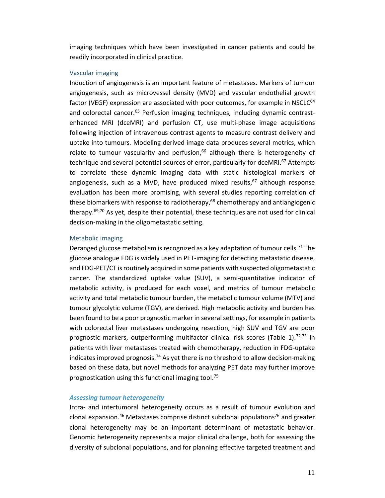imaging techniques which have been investigated in cancer patients and could be readily incorporated in clinical practice.

#### Vascular imaging

Induction of angiogenesis is an important feature of metastases. Markers of tumour angiogenesis, such as microvessel density (MVD) and vascular endothelial growth factor (VEGF) expression are associated with poor outcomes, for example in NSCLC<sup>64</sup> and colorectal cancer.<sup>65</sup> Perfusion imaging techniques, including dynamic contrastenhanced MRI (dceMRI) and perfusion CT, use multi-phase image acquisitions following injection of intravenous contrast agents to measure contrast delivery and uptake into tumours. Modeling derived image data produces several metrics, which relate to tumour vascularity and perfusion, $66$  although there is heterogeneity of technique and several potential sources of error, particularly for dceMRI.<sup>67</sup> Attempts to correlate these dynamic imaging data with static histological markers of angiogenesis, such as a MVD, have produced mixed results, $67$  although response evaluation has been more promising, with several studies reporting correlation of these biomarkers with response to radiotherapy, $68$  chemotherapy and antiangiogenic therapy.<sup>69,70</sup> As yet, despite their potential, these techniques are not used for clinical decision-making in the oligometastatic setting.

#### Metabolic imaging

Deranged glucose metabolism is recognized as a key adaptation of tumour cells.<sup>71</sup> The glucose analogue FDG is widely used in PET-imaging for detecting metastatic disease, and FDG-PET/CT is routinely acquired in some patients with suspected oligometastatic cancer. The standardized uptake value (SUV), a semi-quantitative indicator of metabolic activity, is produced for each voxel, and metrics of tumour metabolic activity and total metabolic tumour burden, the metabolic tumour volume (MTV) and tumour glycolytic volume (TGV), are derived. High metabolic activity and burden has been found to be a poor prognostic marker in several settings, for example in patients with colorectal liver metastases undergoing resection, high SUV and TGV are poor prognostic markers, outperforming multifactor clinical risk scores (Table 1).<sup>72,73</sup> In patients with liver metastases treated with chemotherapy, reduction in FDG-uptake indicates improved prognosis.<sup>74</sup> As yet there is no threshold to allow decision-making based on these data, but novel methods for analyzing PET data may further improve prognostication using this functional imaging tool.<sup>75</sup>

# *Assessing tumour heterogeneity*

Intra- and intertumoral heterogeneity occurs as a result of tumour evolution and clonal expansion.<sup>46</sup> Metastases comprise distinct subclonal populations<sup>76</sup> and greater clonal heterogeneity may be an important determinant of metastatic behavior. Genomic heterogeneity represents a major clinical challenge, both for assessing the diversity of subclonal populations, and for planning effective targeted treatment and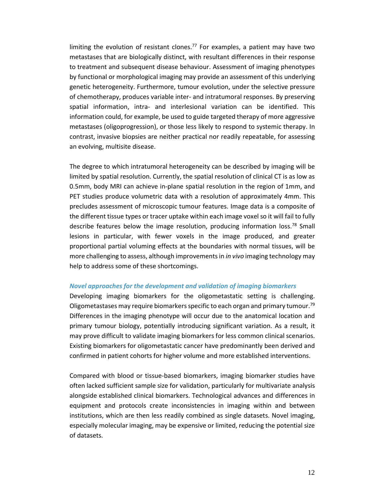limiting the evolution of resistant clones.<sup>77</sup> For examples, a patient may have two metastases that are biologically distinct, with resultant differences in their response to treatment and subsequent disease behaviour. Assessment of imaging phenotypes by functional or morphological imaging may provide an assessment of this underlying genetic heterogeneity. Furthermore, tumour evolution, under the selective pressure of chemotherapy, produces variable inter- and intratumoral responses. By preserving spatial information, intra- and interlesional variation can be identified. This information could, for example, be used to guide targeted therapy of more aggressive metastases (oligoprogression), or those less likely to respond to systemic therapy. In contrast, invasive biopsies are neither practical nor readily repeatable, for assessing an evolving, multisite disease.

The degree to which intratumoral heterogeneity can be described by imaging will be limited by spatial resolution. Currently, the spatial resolution of clinical CT is as low as 0.5mm, body MRI can achieve in-plane spatial resolution in the region of 1mm, and PET studies produce volumetric data with a resolution of approximately 4mm. This precludes assessment of microscopic tumour features. Image data is a composite of the different tissue types or tracer uptake within each image voxel so it will fail to fully describe features below the image resolution, producing information loss.<sup>78</sup> Small lesions in particular, with fewer voxels in the image produced, and greater proportional partial voluming effects at the boundaries with normal tissues, will be more challenging to assess, although improvements in *in vivo* imaging technology may help to address some of these shortcomings.

#### *Novel approaches for the development and validation of imaging biomarkers*

Developing imaging biomarkers for the oligometastatic setting is challenging. Oligometastases may require biomarkers specific to each organ and primary tumour.<sup>79</sup> Differences in the imaging phenotype will occur due to the anatomical location and primary tumour biology, potentially introducing significant variation. As a result, it may prove difficult to validate imaging biomarkers for less common clinical scenarios. Existing biomarkers for oligometastatic cancer have predominantly been derived and confirmed in patient cohorts for higher volume and more established interventions.

Compared with blood or tissue-based biomarkers, imaging biomarker studies have often lacked sufficient sample size for validation, particularly for multivariate analysis alongside established clinical biomarkers. Technological advances and differences in equipment and protocols create inconsistencies in imaging within and between institutions, which are then less readily combined as single datasets. Novel imaging, especially molecular imaging, may be expensive or limited, reducing the potential size of datasets.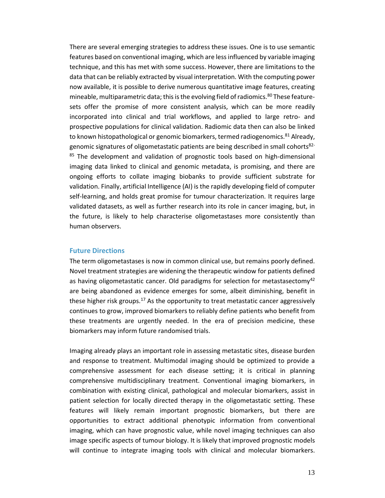There are several emerging strategies to address these issues. One is to use semantic features based on conventional imaging, which are less influenced by variable imaging technique, and this has met with some success. However, there are limitations to the data that can be reliably extracted by visual interpretation. With the computing power now available, it is possible to derive numerous quantitative image features, creating mineable, multiparametric data; this is the evolving field of radiomics.<sup>80</sup> These featuresets offer the promise of more consistent analysis, which can be more readily incorporated into clinical and trial workflows, and applied to large retro- and prospective populations for clinical validation. Radiomic data then can also be linked to known histopathological or genomic biomarkers, termed radiogenomics.<sup>81</sup> Already, genomic signatures of oligometastatic patients are being described in small cohorts $82 85$  The development and validation of prognostic tools based on high-dimensional imaging data linked to clinical and genomic metadata, is promising, and there are ongoing efforts to collate imaging biobanks to provide sufficient substrate for validation. Finally, artificial Intelligence (AI) is the rapidly developing field of computer self-learning, and holds great promise for tumour characterization. It requires large validated datasets, as well as further research into its role in cancer imaging, but, in the future, is likely to help characterise oligometastases more consistently than human observers.

#### **Future Directions**

The term oligometastases is now in common clinical use, but remains poorly defined. Novel treatment strategies are widening the therapeutic window for patients defined as having oligometastatic cancer. Old paradigms for selection for metastasectomy<sup>42</sup> are being abandoned as evidence emerges for some, albeit diminishing, benefit in these higher risk groups.<sup>17</sup> As the opportunity to treat metastatic cancer aggressively continues to grow, improved biomarkers to reliably define patients who benefit from these treatments are urgently needed. In the era of precision medicine, these biomarkers may inform future randomised trials.

Imaging already plays an important role in assessing metastatic sites, disease burden and response to treatment. Multimodal imaging should be optimized to provide a comprehensive assessment for each disease setting; it is critical in planning comprehensive multidisciplinary treatment. Conventional imaging biomarkers, in combination with existing clinical, pathological and molecular biomarkers, assist in patient selection for locally directed therapy in the oligometastatic setting. These features will likely remain important prognostic biomarkers, but there are opportunities to extract additional phenotypic information from conventional imaging, which can have prognostic value, while novel imaging techniques can also image specific aspects of tumour biology. It is likely that improved prognostic models will continue to integrate imaging tools with clinical and molecular biomarkers.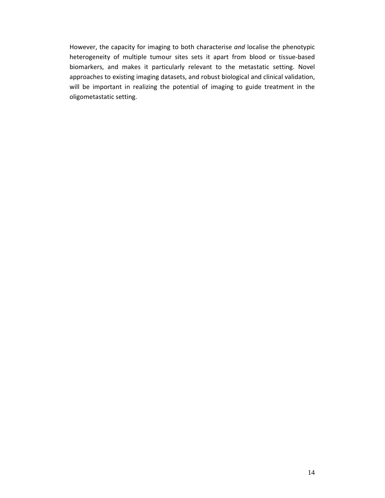However, the capacity for imaging to both characterise *and* localise the phenotypic heterogeneity of multiple tumour sites sets it apart from blood or tissue-based biomarkers, and makes it particularly relevant to the metastatic setting. Novel approaches to existing imaging datasets, and robust biological and clinical validation, will be important in realizing the potential of imaging to guide treatment in the oligometastatic setting.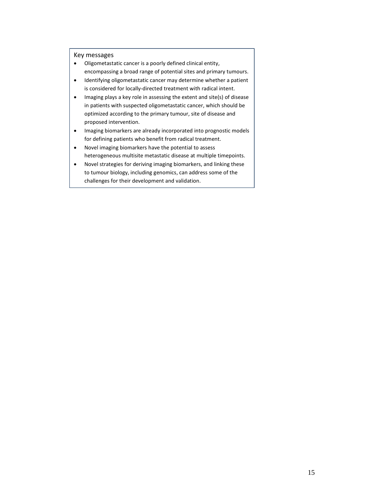Key messages

- Oligometastatic cancer is a poorly defined clinical entity, encompassing a broad range of potential sites and primary tumours.
- Identifying oligometastatic cancer may determine whether a patient is considered for locally-directed treatment with radical intent.
- Imaging plays a key role in assessing the extent and site(s) of disease in patients with suspected oligometastatic cancer, which should be optimized according to the primary tumour, site of disease and proposed intervention.
- Imaging biomarkers are already incorporated into prognostic models for defining patients who benefit from radical treatment.
- Novel imaging biomarkers have the potential to assess heterogeneous multisite metastatic disease at multiple timepoints.
- Novel strategies for deriving imaging biomarkers, and linking these to tumour biology, including genomics, can address some of the challenges for their development and validation.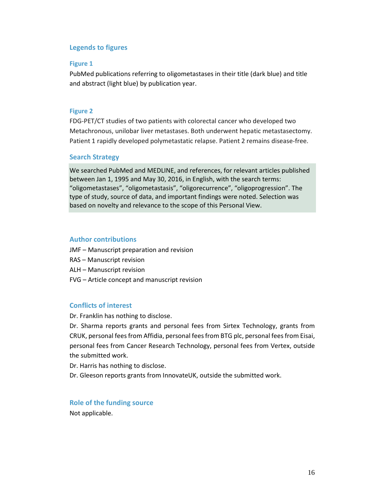# **Legends to figures**

#### **Figure 1**

PubMed publications referring to oligometastases in their title (dark blue) and title and abstract (light blue) by publication year.

#### **Figure 2**

FDG-PET/CT studies of two patients with colorectal cancer who developed two Metachronous, unilobar liver metastases. Both underwent hepatic metastasectomy. Patient 1 rapidly developed polymetastatic relapse. Patient 2 remains disease-free.

# **Search Strategy**

We searched PubMed and MEDLINE, and references, for relevant articles published between Jan 1, 1995 and May 30, 2016, in English, with the search terms: "oligometastases", "oligometastasis", "oligorecurrence", "oligoprogression". The type of study, source of data, and important findings were noted. Selection was based on novelty and relevance to the scope of this Personal View.

#### **Author contributions**

- JMF Manuscript preparation and revision
- RAS Manuscript revision
- ALH Manuscript revision
- FVG Article concept and manuscript revision

## **Conflicts of interest**

Dr. Franklin has nothing to disclose.

Dr. Sharma reports grants and personal fees from Sirtex Technology, grants from CRUK, personal fees from Affidia, personal fees from BTG plc, personal fees from Eisai, personal fees from Cancer Research Technology, personal fees from Vertex, outside the submitted work.

Dr. Harris has nothing to disclose.

Dr. Gleeson reports grants from InnovateUK, outside the submitted work.

# **Role of the funding source**

Not applicable.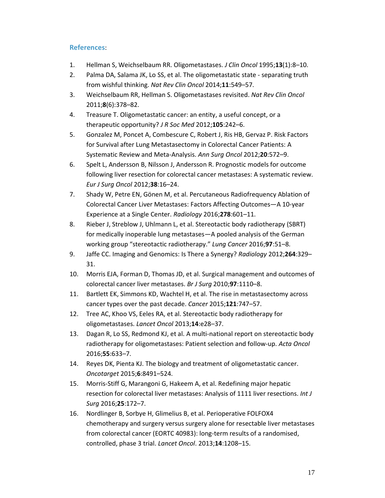# **References**:

- 1. Hellman S, Weichselbaum RR. Oligometastases. *J Clin Oncol* 1995;**13**(1):8–10.
- 2. Palma DA, Salama JK, Lo SS, et al. The oligometastatic state separating truth from wishful thinking. *Nat Rev Clin Oncol* 2014;**11**:549–57.
- 3. Weichselbaum RR, Hellman S. Oligometastases revisited. *Nat Rev Clin Oncol* 2011;**8**(6):378–82.
- 4. Treasure T. Oligometastatic cancer: an entity, a useful concept, or a therapeutic opportunity? *J R Soc Med* 2012;**105**:242–6.
- 5. Gonzalez M, Poncet A, Combescure C, Robert J, Ris HB, Gervaz P. Risk Factors for Survival after Lung Metastasectomy in Colorectal Cancer Patients: A Systematic Review and Meta-Analysis. *Ann Surg Oncol* 2012;**20**:572–9.
- 6. Spelt L, Andersson B, Nilsson J, Andersson R. Prognostic models for outcome following liver resection for colorectal cancer metastases: A systematic review. *Eur J Surg Oncol* 2012;**38**:16–24.
- 7. Shady W, Petre EN, Gönen M, et al. Percutaneous Radiofrequency Ablation of Colorectal Cancer Liver Metastases: Factors Affecting Outcomes—A 10-year Experience at a Single Center. *Radiology* 2016;**278**:601–11.
- 8. Rieber J, Streblow J, Uhlmann L, et al. Stereotactic body radiotherapy (SBRT) for medically inoperable lung metastases—A pooled analysis of the German working group "stereotactic radiotherapy." *Lung Cancer* 2016;**97**:51–8.
- 9. Jaffe CC. Imaging and Genomics: Is There a Synergy? *Radiology* 2012;**264**:329– 31.
- 10. Morris EJA, Forman D, Thomas JD, et al. Surgical management and outcomes of colorectal cancer liver metastases. *Br J Surg* 2010;**97**:1110–8.
- 11. Bartlett EK, Simmons KD, Wachtel H, et al. The rise in metastasectomy across cancer types over the past decade. *Cancer* 2015;**121**:747–57.
- 12. Tree AC, Khoo VS, Eeles RA, et al. Stereotactic body radiotherapy for oligometastases. *Lancet Oncol* 2013;**14**:e28–37.
- 13. Dagan R, Lo SS, Redmond KJ, et al. A multi-national report on stereotactic body radiotherapy for oligometastases: Patient selection and follow-up. *Acta Oncol* 2016;**55**:633–7.
- 14. Reyes DK, Pienta KJ. The biology and treatment of oligometastatic cancer. *Oncotarget* 2015;**6**:8491–524.
- 15. Morris-Stiff G, Marangoni G, Hakeem A, et al. Redefining major hepatic resection for colorectal liver metastases: Analysis of 1111 liver resections. *Int J Surg* 2016;**25**:172–7.
- 16. Nordlinger B, Sorbye H, Glimelius B, et al. Perioperative FOLFOX4 chemotherapy and surgery versus surgery alone for resectable liver metastases from colorectal cancer (EORTC 40983): long-term results of a randomised, controlled, phase 3 trial. *Lancet Oncol*. 2013;**14**:1208–15.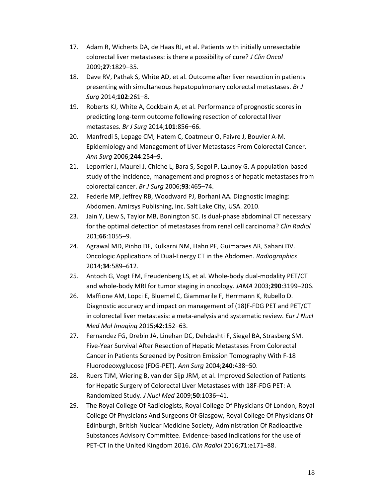- 17. Adam R, Wicherts DA, de Haas RJ, et al. Patients with initially unresectable colorectal liver metastases: is there a possibility of cure? *J Clin Oncol* 2009;**27**:1829–35.
- 18. Dave RV, Pathak S, White AD, et al. Outcome after liver resection in patients presenting with simultaneous hepatopulmonary colorectal metastases. *Br J Surg* 2014;**102**:261–8.
- 19. Roberts KJ, White A, Cockbain A, et al. Performance of prognostic scores in predicting long-term outcome following resection of colorectal liver metastases. *Br J Surg* 2014;**101**:856–66.
- 20. Manfredi S, Lepage CM, Hatem C, Coatmeur O, Faivre J, Bouvier A-M. Epidemiology and Management of Liver Metastases From Colorectal Cancer. *Ann Surg* 2006;**244**:254–9.
- 21. Leporrier J, Maurel J, Chiche L, Bara S, Segol P, Launoy G. A population-based study of the incidence, management and prognosis of hepatic metastases from colorectal cancer. *Br J Surg* 2006;**93**:465–74.
- 22. Federle MP, Jeffrey RB, Woodward PJ, Borhani AA. Diagnostic Imaging: Abdomen. Amirsys Publishing, Inc. Salt Lake City, USA. 2010.
- 23. Jain Y, Liew S, Taylor MB, Bonington SC. Is dual-phase abdominal CT necessary for the optimal detection of metastases from renal cell carcinoma? *Clin Radiol* 201;**66**:1055–9.
- 24. Agrawal MD, Pinho DF, Kulkarni NM, Hahn PF, Guimaraes AR, Sahani DV. Oncologic Applications of Dual-Energy CT in the Abdomen. *Radiographics* 2014;**34**:589–612.
- 25. Antoch G, Vogt FM, Freudenberg LS, et al. Whole-body dual-modality PET/CT and whole-body MRI for tumor staging in oncology. *JAMA* 2003;**290**:3199–206.
- 26. Maffione AM, Lopci E, Bluemel C, Giammarile F, Herrmann K, Rubello D. Diagnostic accuracy and impact on management of (18)F-FDG PET and PET/CT in colorectal liver metastasis: a meta-analysis and systematic review. *Eur J Nucl Med Mol Imaging* 2015;**42**:152–63.
- 27. Fernandez FG, Drebin JA, Linehan DC, Dehdashti F, Siegel BA, Strasberg SM. Five-Year Survival After Resection of Hepatic Metastases From Colorectal Cancer in Patients Screened by Positron Emission Tomography With F-18 Fluorodeoxyglucose (FDG-PET). *Ann Surg* 2004;**240**:438–50.
- 28. Ruers TJM, Wiering B, van der Sijp JRM, et al. Improved Selection of Patients for Hepatic Surgery of Colorectal Liver Metastases with 18F-FDG PET: A Randomized Study. *J Nucl Med* 2009;**50**:1036–41.
- 29. The Royal College Of Radiologists, Royal College Of Physicians Of London, Royal College Of Physicians And Surgeons Of Glasgow, Royal College Of Physicians Of Edinburgh, British Nuclear Medicine Society, Administration Of Radioactive Substances Advisory Committee. Evidence-based indications for the use of PET-CT in the United Kingdom 2016. *Clin Radiol* 2016;**71**:e171–88.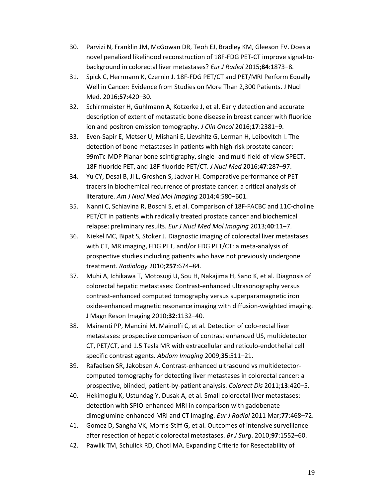- 30. Parvizi N, Franklin JM, McGowan DR, Teoh EJ, Bradley KM, Gleeson FV. Does a novel penalized likelihood reconstruction of 18F-FDG PET-CT improve signal-tobackground in colorectal liver metastases? *Eur J Radiol* 2015;**84**:1873–8.
- 31. Spick C, Herrmann K, Czernin J. 18F-FDG PET/CT and PET/MRI Perform Equally Well in Cancer: Evidence from Studies on More Than 2,300 Patients. J Nucl Med. 2016;**57**:420–30.
- 32. Schirrmeister H, Guhlmann A, Kotzerke J, et al. Early detection and accurate description of extent of metastatic bone disease in breast cancer with fluoride ion and positron emission tomography. *J Clin Oncol* 2016;**17**:2381–9.
- 33. Even-Sapir E, Metser U, Mishani E, Lievshitz G, Lerman H, Leibovitch I. The detection of bone metastases in patients with high-risk prostate cancer: 99mTc-MDP Planar bone scintigraphy, single- and multi-field-of-view SPECT, 18F-fluoride PET, and 18F-fluoride PET/CT. *J Nucl Med* 2016;**47**:287–97.
- 34. Yu CY, Desai B, Ji L, Groshen S, Jadvar H. Comparative performance of PET tracers in biochemical recurrence of prostate cancer: a critical analysis of literature. *Am J Nucl Med Mol Imaging* 2014;**4**:580–601.
- 35. Nanni C, Schiavina R, Boschi S, et al. Comparison of 18F-FACBC and 11C-choline PET/CT in patients with radically treated prostate cancer and biochemical relapse: preliminary results. *Eur J Nucl Med Mol Imaging* 2013;**40**:11–7.
- 36. Niekel MC, Bipat S, Stoker J. Diagnostic imaging of colorectal liver metastases with CT, MR imaging, FDG PET, and/or FDG PET/CT: a meta-analysis of prospective studies including patients who have not previously undergone treatment. *Radiology* 2010;**257**:674–84.
- 37. Muhi A, Ichikawa T, Motosugi U, Sou H, Nakajima H, Sano K, et al. Diagnosis of colorectal hepatic metastases: Contrast-enhanced ultrasonography versus contrast-enhanced computed tomography versus superparamagnetic iron oxide-enhanced magnetic resonance imaging with diffusion-weighted imaging. J Magn Reson Imaging 2010;**32**:1132–40.
- 38. Mainenti PP, Mancini M, Mainolfi C, et al. Detection of colo-rectal liver metastases: prospective comparison of contrast enhanced US, multidetector CT, PET/CT, and 1.5 Tesla MR with extracellular and reticulo-endothelial cell specific contrast agents. *Abdom Imaging* 2009;**35**:511–21.
- 39. Rafaelsen SR, Jakobsen A. Contrast-enhanced ultrasound vs multidetectorcomputed tomography for detecting liver metastases in colorectal cancer: a prospective, blinded, patient-by-patient analysis. *Colorect Dis* 2011;**13**:420–5.
- 40. Hekimoglu K, Ustundag Y, Dusak A, et al. Small colorectal liver metastases: detection with SPIO-enhanced MRI in comparison with gadobenate dimeglumine-enhanced MRI and CT imaging. *Eur J Radiol* 2011 Mar;**77**:468–72.
- 41. Gomez D, Sangha VK, Morris-Stiff G, et al. Outcomes of intensive surveillance after resection of hepatic colorectal metastases. *Br J Surg*. 2010;**97**:1552–60.
- 42. Pawlik TM, Schulick RD, Choti MA. Expanding Criteria for Resectability of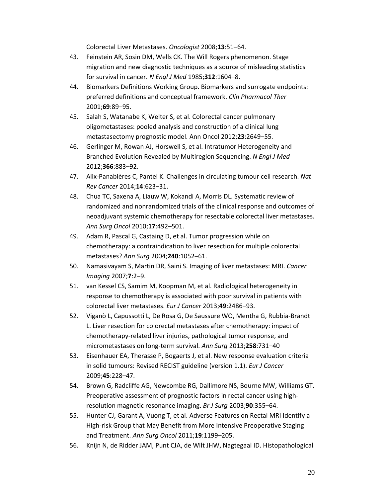Colorectal Liver Metastases. *Oncologist* 2008;**13**:51–64.

- 43. Feinstein AR, Sosin DM, Wells CK. The Will Rogers phenomenon. Stage migration and new diagnostic techniques as a source of misleading statistics for survival in cancer. *N Engl J Med* 1985;**312**:1604–8.
- 44. Biomarkers Definitions Working Group. Biomarkers and surrogate endpoints: preferred definitions and conceptual framework. *Clin Pharmacol Ther* 2001;**69**:89–95.
- 45. Salah S, Watanabe K, Welter S, et al. Colorectal cancer pulmonary oligometastases: pooled analysis and construction of a clinical lung metastasectomy prognostic model. Ann Oncol 2012;**23**:2649–55.
- 46. Gerlinger M, Rowan AJ, Horswell S, et al. Intratumor Heterogeneity and Branched Evolution Revealed by Multiregion Sequencing. *N Engl J Med* 2012;**366**:883–92.
- 47. Alix-Panabières C, Pantel K. Challenges in circulating tumour cell research. *Nat Rev Cancer* 2014;**14**:623–31.
- 48. Chua TC, Saxena A, Liauw W, Kokandi A, Morris DL. Systematic review of randomized and nonrandomized trials of the clinical response and outcomes of neoadjuvant systemic chemotherapy for resectable colorectal liver metastases. *Ann Surg Oncol* 2010;**17**:492–501.
- 49. Adam R, Pascal G, Castaing D, et al. Tumor progression while on chemotherapy: a contraindication to liver resection for multiple colorectal metastases? *Ann Surg* 2004;**240**:1052–61.
- 50. Namasivayam S, Martin DR, Saini S. Imaging of liver metastases: MRI. *Cancer Imaging* 2007;**7**:2–9.
- 51. van Kessel CS, Samim M, Koopman M, et al. Radiological heterogeneity in response to chemotherapy is associated with poor survival in patients with colorectal liver metastases. *Eur J Cancer* 2013;**49**:2486–93.
- 52. Viganò L, Capussotti L, De Rosa G, De Saussure WO, Mentha G, Rubbia-Brandt L. Liver resection for colorectal metastases after chemotherapy: impact of chemotherapy-related liver injuries, pathological tumor response, and micrometastases on long-term survival. *Ann Surg* 2013;**258**:731–40
- 53. Eisenhauer EA, Therasse P, Bogaerts J, et al. New response evaluation criteria in solid tumours: Revised RECIST guideline (version 1.1). *Eur J Cancer* 2009;**45**:228–47.
- 54. Brown G, Radcliffe AG, Newcombe RG, Dallimore NS, Bourne MW, Williams GT. Preoperative assessment of prognostic factors in rectal cancer using highresolution magnetic resonance imaging. *Br J Surg* 2003;**90**:355–64.
- 55. Hunter CJ, Garant A, Vuong T, et al. Adverse Features on Rectal MRI Identify a High-risk Group that May Benefit from More Intensive Preoperative Staging and Treatment. *Ann Surg Oncol* 2011;**19**:1199–205.
- 56. Knijn N, de Ridder JAM, Punt CJA, de Wilt JHW, Nagtegaal ID. Histopathological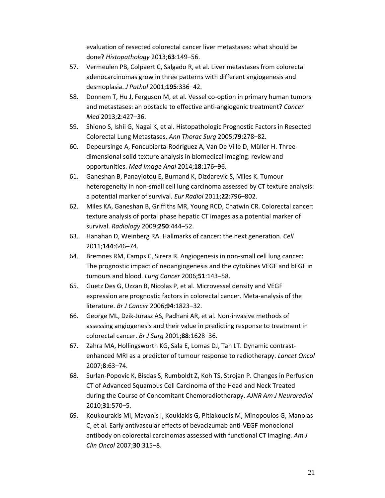evaluation of resected colorectal cancer liver metastases: what should be done? *Histopathology* 2013;**63**:149–56.

- 57. Vermeulen PB, Colpaert C, Salgado R, et al. Liver metastases from colorectal adenocarcinomas grow in three patterns with different angiogenesis and desmoplasia. *J Pathol* 2001;**195**:336–42.
- 58. Donnem T, Hu J, Ferguson M, et al. Vessel co-option in primary human tumors and metastases: an obstacle to effective anti-angiogenic treatment? *Cancer Med* 2013;**2**:427–36.
- 59. Shiono S, Ishii G, Nagai K, et al. Histopathologic Prognostic Factors in Resected Colorectal Lung Metastases. *Ann Thorac Surg* 2005;**79**:278–82.
- 60. Depeursinge A, Foncubierta-Rodriguez A, Van De Ville D, Müller H. Threedimensional solid texture analysis in biomedical imaging: review and opportunities. *Med Image Anal* 2014;**18**:176–96.
- 61. Ganeshan B, Panayiotou E, Burnand K, Dizdarevic S, Miles K. Tumour heterogeneity in non-small cell lung carcinoma assessed by CT texture analysis: a potential marker of survival. *Eur Radiol* 2011;**22**:796–802.
- 62. Miles KA, Ganeshan B, Griffiths MR, Young RCD, Chatwin CR. Colorectal cancer: texture analysis of portal phase hepatic CT images as a potential marker of survival. *Radiology* 2009;**250**:444–52.
- 63. Hanahan D, Weinberg RA. Hallmarks of cancer: the next generation. *Cell* 2011;**144**:646–74.
- 64. Bremnes RM, Camps C, Sirera R. Angiogenesis in non-small cell lung cancer: The prognostic impact of neoangiogenesis and the cytokines VEGF and bFGF in tumours and blood. *Lung Cancer* 2006;**51**:143–58.
- 65. Guetz Des G, Uzzan B, Nicolas P, et al. Microvessel density and VEGF expression are prognostic factors in colorectal cancer. Meta-analysis of the literature. *Br J Cancer* 2006;**94**:1823–32.
- 66. George ML, Dzik-Jurasz AS, Padhani AR, et al. Non-invasive methods of assessing angiogenesis and their value in predicting response to treatment in colorectal cancer. *Br J Surg* 2001;**88**:1628–36.
- 67. Zahra MA, Hollingsworth KG, Sala E, Lomas DJ, Tan LT. Dynamic contrastenhanced MRI as a predictor of tumour response to radiotherapy. *Lancet Oncol* 2007;**8**:63–74.
- 68. Surlan-Popovic K, Bisdas S, Rumboldt Z, Koh TS, Strojan P. Changes in Perfusion CT of Advanced Squamous Cell Carcinoma of the Head and Neck Treated during the Course of Concomitant Chemoradiotherapy. *AJNR Am J Neuroradiol* 2010;**31**:570–5.
- 69. Koukourakis MI, Mavanis I, Kouklakis G, Pitiakoudis M, Minopoulos G, Manolas C, et al. Early antivascular effects of bevacizumab anti-VEGF monoclonal antibody on colorectal carcinomas assessed with functional CT imaging. *Am J Clin Oncol* 2007;**30**:315–8.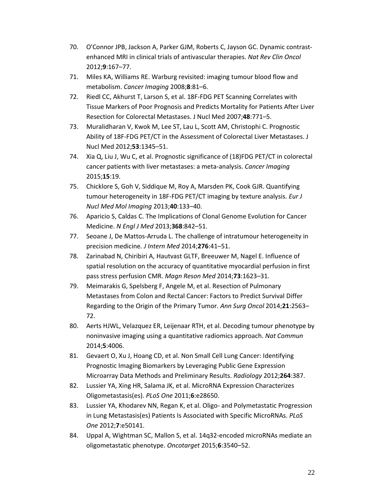- 70. O'Connor JPB, Jackson A, Parker GJM, Roberts C, Jayson GC. Dynamic contrastenhanced MRI in clinical trials of antivascular therapies. *Nat Rev Clin Oncol* 2012;**9**:167–77.
- 71. Miles KA, Williams RE. Warburg revisited: imaging tumour blood flow and metabolism. *Cancer Imaging* 2008;**8**:81–6.
- 72. Riedl CC, Akhurst T, Larson S, et al. 18F-FDG PET Scanning Correlates with Tissue Markers of Poor Prognosis and Predicts Mortality for Patients After Liver Resection for Colorectal Metastases. J Nucl Med 2007;**48**:771–5.
- 73. Muralidharan V, Kwok M, Lee ST, Lau L, Scott AM, Christophi C. Prognostic Ability of 18F-FDG PET/CT in the Assessment of Colorectal Liver Metastases. J Nucl Med 2012;**53**:1345–51.
- 74. Xia Q, Liu J, Wu C, et al. Prognostic significance of (18)FDG PET/CT in colorectal cancer patients with liver metastases: a meta-analysis. *Cancer Imaging* 2015;**15**:19.
- 75. Chicklore S, Goh V, Siddique M, Roy A, Marsden PK, Cook GJR. Quantifying tumour heterogeneity in 18F-FDG PET/CT imaging by texture analysis. *Eur J Nucl Med Mol Imaging* 2013;**40**:133–40.
- 76. Aparicio S, Caldas C. The Implications of Clonal Genome Evolution for Cancer Medicine. *N Engl J Med* 2013;**368**:842–51.
- 77. Seoane J, De Mattos-Arruda L. The challenge of intratumour heterogeneity in precision medicine*. J Intern Med* 2014;**276**:41–51.
- 78. Zarinabad N, Chiribiri A, Hautvast GLTF, Breeuwer M, Nagel E. Influence of spatial resolution on the accuracy of quantitative myocardial perfusion in first pass stress perfusion CMR. *Magn Reson Med* 2014;**73**:1623–31.
- 79. Meimarakis G, Spelsberg F, Angele M, et al. Resection of Pulmonary Metastases from Colon and Rectal Cancer: Factors to Predict Survival Differ Regarding to the Origin of the Primary Tumor. *Ann Surg Oncol* 2014;**21**:2563– 72.
- 80. Aerts HJWL, Velazquez ER, Leijenaar RTH, et al. Decoding tumour phenotype by noninvasive imaging using a quantitative radiomics approach. *Nat Commun* 2014;**5**:4006.
- 81. Gevaert O, Xu J, Hoang CD, et al. Non Small Cell Lung Cancer: Identifying Prognostic Imaging Biomarkers by Leveraging Public Gene Expression Microarray Data Methods and Preliminary Results. *Radiology* 2012;**264**:387.
- 82. Lussier YA, Xing HR, Salama JK, et al. MicroRNA Expression Characterizes Oligometastasis(es). *PLoS One* 2011;**6**:e28650.
- 83. Lussier YA, Khodarev NN, Regan K, et al. Oligo- and Polymetastatic Progression in Lung Metastasis(es) Patients Is Associated with Specific MicroRNAs. *PLoS One* 2012;**7**:e50141.
- 84. Uppal A, Wightman SC, Mallon S, et al. 14q32-encoded microRNAs mediate an oligometastatic phenotype. *Oncotarget* 2015;**6**:3540–52.